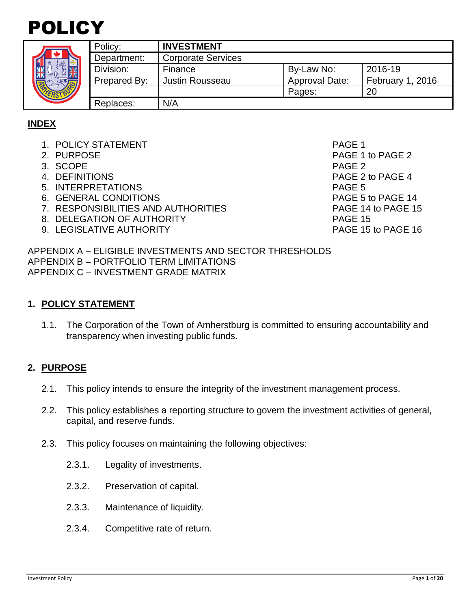



|  | Policy:      | <b>INVESTMENT</b>         |                       |                  |  |  |  |  |
|--|--------------|---------------------------|-----------------------|------------------|--|--|--|--|
|  | Department:  | <b>Corporate Services</b> |                       |                  |  |  |  |  |
|  | Division:    | Finance                   | By-Law No:            | 2016-19          |  |  |  |  |
|  | Prepared By: | <b>Justin Rousseau</b>    | <b>Approval Date:</b> | February 1, 2016 |  |  |  |  |
|  |              |                           | Pages:                | 20               |  |  |  |  |
|  | Replaces:    | N/A                       |                       |                  |  |  |  |  |

## **INDEX**

- 1. POLICY STATEMENT And the state of the state of the page 1
- 
- 3. SCOPE PAGE 2
- 
- 5. INTERPRETATIONS PAGE 5
- 6. GENERAL CONDITIONS PAGE 5 to PAGE 14
- 7. RESPONSIBILITIES AND AUTHORITIES PAGE 14 to PAGE 15
- 8. DELEGATION OF AUTHORITY **EXAMPLE 2018 PAGE 15**
- 9. LEGISLATIVE AUTHORITY **PAGE 15** to PAGE 16

2. PURPOSE 2 4. DEFINITIONS PAGE 2 to PAGE 4

APPENDIX A – ELIGIBLE INVESTMENTS AND SECTOR THRESHOLDS APPENDIX B – PORTFOLIO TERM LIMITATIONS APPENDIX C – INVESTMENT GRADE MATRIX

## **1. POLICY STATEMENT**

1.1. The Corporation of the Town of Amherstburg is committed to ensuring accountability and transparency when investing public funds.

## **2. PURPOSE**

- 2.1. This policy intends to ensure the integrity of the investment management process.
- 2.2. This policy establishes a reporting structure to govern the investment activities of general, capital, and reserve funds.
- 2.3. This policy focuses on maintaining the following objectives:
	- 2.3.1. Legality of investments.
	- 2.3.2. Preservation of capital.
	- 2.3.3. Maintenance of liquidity.
	- 2.3.4. Competitive rate of return.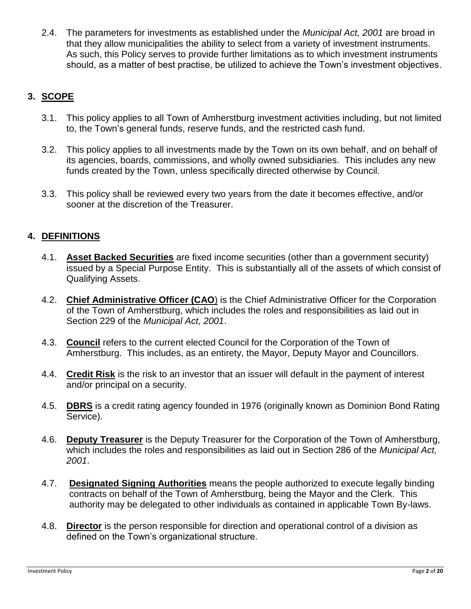2.4. The parameters for investments as established under the *Municipal Act, 2001* are broad in that they allow municipalities the ability to select from a variety of investment instruments. As such, this Policy serves to provide further limitations as to which investment instruments should, as a matter of best practise, be utilized to achieve the Town's investment objectives.

# **3. SCOPE**

- 3.1. This policy applies to all Town of Amherstburg investment activities including, but not limited to, the Town's general funds, reserve funds, and the restricted cash fund.
- 3.2. This policy applies to all investments made by the Town on its own behalf, and on behalf of its agencies, boards, commissions, and wholly owned subsidiaries. This includes any new funds created by the Town, unless specifically directed otherwise by Council.
- 3.3. This policy shall be reviewed every two years from the date it becomes effective, and/or sooner at the discretion of the Treasurer.

# **4. DEFINITIONS**

- 4.1. **Asset Backed Securities** are fixed income securities (other than a government security) issued by a Special Purpose Entity. This is substantially all of the assets of which consist of Qualifying Assets.
- 4.2. **Chief Administrative Officer (CAO**) is the Chief Administrative Officer for the Corporation of the Town of Amherstburg, which includes the roles and responsibilities as laid out in Section 229 of the *Municipal Act, 2001*.
- 4.3. **Council** refers to the current elected Council for the Corporation of the Town of Amherstburg. This includes, as an entirety, the Mayor, Deputy Mayor and Councillors.
- 4.4. **Credit Risk** is the risk to an investor that an issuer will default in the payment of interest and/or principal on a security.
- 4.5. **DBRS** is a [credit rating agency](http://en.wikipedia.org/wiki/Credit_rating_agency) founded in 1976 (originally known as Dominion Bond Rating Service).
- 4.6. **Deputy Treasurer** is the Deputy Treasurer for the Corporation of the Town of Amherstburg, which includes the roles and responsibilities as laid out in Section 286 of the *Municipal Act, 2001*.
- 4.7. **Designated Signing Authorities** means the people authorized to execute legally binding contracts on behalf of the Town of Amherstburg, being the Mayor and the Clerk. This authority may be delegated to other individuals as contained in applicable Town By-laws.
- 4.8. **Director** is the person responsible for direction and operational control of a division as defined on the Town's organizational structure.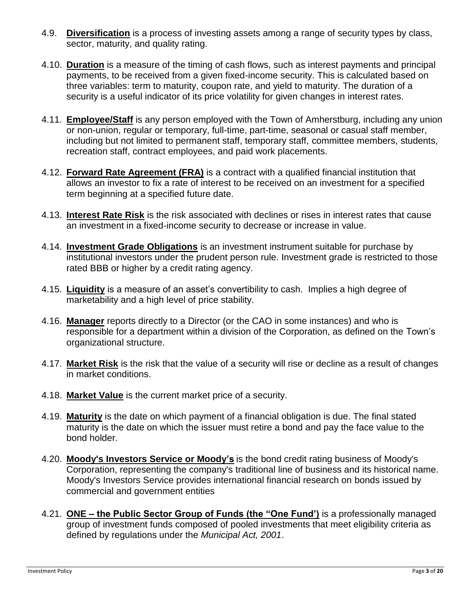- 4.9. **Diversification** is a process of investing assets among a range of security types by class, sector, maturity, and quality rating.
- 4.10. **Duration** is a measure of the timing of cash flows, such as interest payments and principal payments, to be received from a given fixed-income security. This is calculated based on three variables: term to maturity, coupon rate, and yield to maturity. The duration of a security is a useful indicator of its price volatility for given changes in interest rates.
- 4.11. **Employee/Staff** is any person employed with the Town of Amherstburg, including any union or non-union, regular or temporary, full-time, part-time, seasonal or casual staff member, including but not limited to permanent staff, temporary staff, committee members, students, recreation staff, contract employees, and paid work placements.
- 4.12. **Forward Rate Agreement (FRA)** is a contract with a qualified financial institution that allows an investor to fix a rate of interest to be received on an investment for a specified term beginning at a specified future date.
- 4.13. **Interest Rate Risk** is the risk associated with declines or rises in interest rates that cause an investment in a fixed-income security to decrease or increase in value.
- 4.14. **Investment Grade Obligations** is an investment instrument suitable for purchase by institutional investors under the prudent person rule. Investment grade is restricted to those rated BBB or higher by a credit rating agency.
- 4.15. **Liquidity** is a measure of an asset's convertibility to cash. Implies a high degree of marketability and a high level of price stability.
- 4.16. **Manager** reports directly to a Director (or the CAO in some instances) and who is responsible for a department within a division of the Corporation, as defined on the Town's organizational structure.
- 4.17. **Market Risk** is the risk that the value of a security will rise or decline as a result of changes in market conditions.
- 4.18. **Market Value** is the current market price of a security.
- 4.19. **Maturity** is the date on which payment of a financial obligation is due. The final stated maturity is the date on which the issuer must retire a bond and pay the face value to the bond holder.
- 4.20. **Moody's Investors Service or Moody's** is the [bond credit rating](http://en.wikipedia.org/wiki/Bond_credit_rating) business of [Moody's](http://en.wikipedia.org/wiki/Moody%27s_Corporation)  [Corporation,](http://en.wikipedia.org/wiki/Moody%27s_Corporation) representing the company's traditional line of business and its historical name. Moody's Investors Service provides international financial research on [bonds](http://en.wikipedia.org/wiki/Bond_(finance)) issued by commercial and government entities
- 4.21. **ONE – the Public Sector Group of Funds (the "One Fund')** is a professionally managed group of investment funds composed of pooled investments that meet eligibility criteria as defined by regulations under the *Municipal Act, 2001*.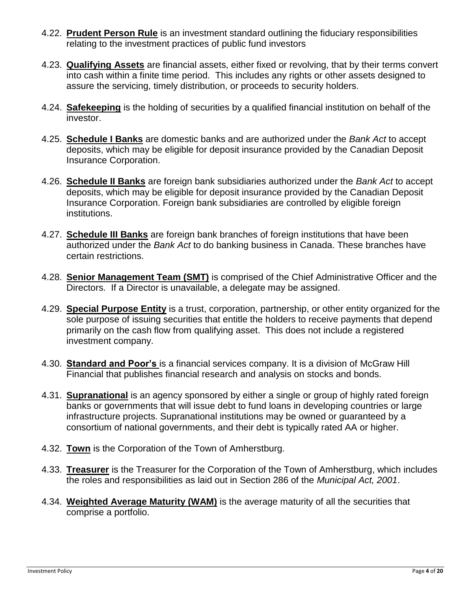- 4.22. **Prudent Person Rule** is an investment standard outlining the fiduciary responsibilities relating to the investment practices of public fund investors
- 4.23. **Qualifying Assets** are financial assets, either fixed or revolving, that by their terms convert into cash within a finite time period. This includes any rights or other assets designed to assure the servicing, timely distribution, or proceeds to security holders.
- 4.24. **Safekeeping** is the holding of securities by a qualified financial institution on behalf of the investor.
- 4.25. **Schedule I Banks** are domestic banks and are authorized under the *Bank Act* to accept deposits, which may be eligible for deposit insurance provided by the Canadian Deposit Insurance Corporation.
- 4.26. **Schedule II Banks** are foreign bank subsidiaries authorized under the *Bank Act* to accept deposits, which may be eligible for deposit insurance provided by the Canadian Deposit Insurance Corporation. Foreign bank subsidiaries are controlled by eligible foreign institutions.
- 4.27. **Schedule III Banks** are foreign bank branches of foreign institutions that have been authorized under the *Bank Act* to do banking business in Canada. These branches have certain restrictions.
- 4.28. **Senior Management Team (SMT)** is comprised of the Chief Administrative Officer and the Directors. If a Director is unavailable, a delegate may be assigned.
- 4.29. **Special Purpose Entity** is a trust, corporation, partnership, or other entity organized for the sole purpose of issuing securities that entitle the holders to receive payments that depend primarily on the cash flow from qualifying asset. This does not include a registered investment company.
- 4.30. **Standard and Poor's** is a [financial services](http://en.wikipedia.org/wiki/Financial_services) company. It is a division of [McGraw Hill](http://en.wikipedia.org/wiki/McGraw_Hill_Financial)  [Financial](http://en.wikipedia.org/wiki/McGraw_Hill_Financial) that publishes financial research and analysis on [stocks](http://en.wikipedia.org/wiki/Stock) and [bonds.](http://en.wikipedia.org/wiki/Bond_(finance))
- 4.31. **Supranational** is an agency sponsored by either a single or group of highly rated foreign banks or governments that will issue debt to fund loans in developing countries or large infrastructure projects. Supranational institutions may be owned or guaranteed by a consortium of national governments, and their debt is typically rated AA or higher.
- 4.32. **Town** is the Corporation of the Town of Amherstburg.
- 4.33. **Treasurer** is the Treasurer for the Corporation of the Town of Amherstburg, which includes the roles and responsibilities as laid out in Section 286 of the *Municipal Act, 2001*.
- 4.34. **Weighted Average Maturity (WAM)** is the average maturity of all the securities that comprise a portfolio.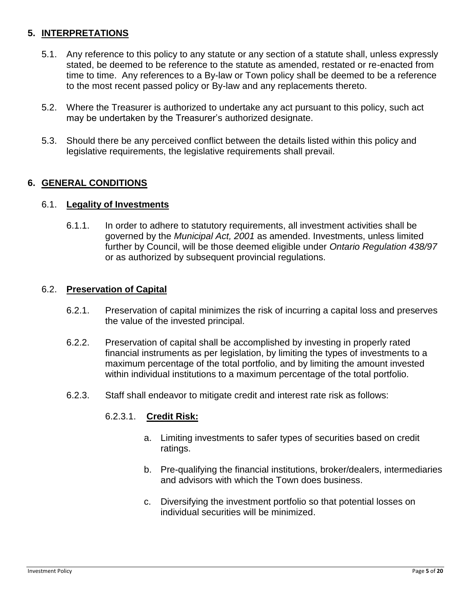## **5. INTERPRETATIONS**

- 5.1. Any reference to this policy to any statute or any section of a statute shall, unless expressly stated, be deemed to be reference to the statute as amended, restated or re-enacted from time to time. Any references to a By-law or Town policy shall be deemed to be a reference to the most recent passed policy or By-law and any replacements thereto.
- 5.2. Where the Treasurer is authorized to undertake any act pursuant to this policy, such act may be undertaken by the Treasurer's authorized designate.
- 5.3. Should there be any perceived conflict between the details listed within this policy and legislative requirements, the legislative requirements shall prevail.

## **6. GENERAL CONDITIONS**

### 6.1. **Legality of Investments**

6.1.1. In order to adhere to statutory requirements, all investment activities shall be governed by the *Municipal Act, 2001* as amended. Investments, unless limited further by Council, will be those deemed eligible under *Ontario Regulation 438/97* or as authorized by subsequent provincial regulations.

## 6.2. **Preservation of Capital**

- 6.2.1. Preservation of capital minimizes the risk of incurring a capital loss and preserves the value of the invested principal.
- 6.2.2. Preservation of capital shall be accomplished by investing in properly rated financial instruments as per legislation, by limiting the types of investments to a maximum percentage of the total portfolio, and by limiting the amount invested within individual institutions to a maximum percentage of the total portfolio.
- 6.2.3. Staff shall endeavor to mitigate credit and interest rate risk as follows:

## 6.2.3.1. **Credit Risk:**

- a. Limiting investments to safer types of securities based on credit ratings.
- b. Pre-qualifying the financial institutions, broker/dealers, intermediaries and advisors with which the Town does business.
- c. Diversifying the investment portfolio so that potential losses on individual securities will be minimized.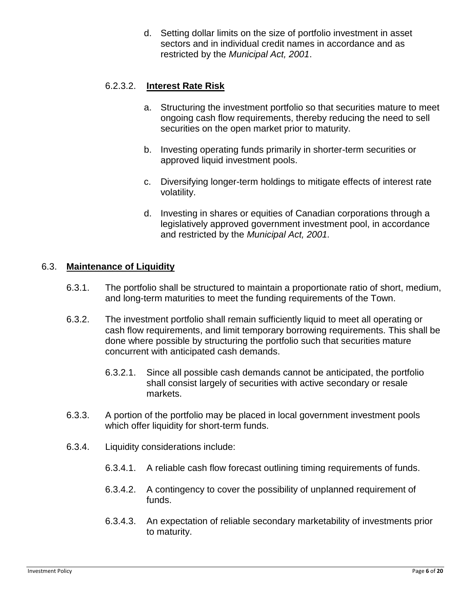d. Setting dollar limits on the size of portfolio investment in asset sectors and in individual credit names in accordance and as restricted by the *Municipal Act, 2001*.

## 6.2.3.2. **Interest Rate Risk**

- a. Structuring the investment portfolio so that securities mature to meet ongoing cash flow requirements, thereby reducing the need to sell securities on the open market prior to maturity.
- b. Investing operating funds primarily in shorter-term securities or approved liquid investment pools.
- c. Diversifying longer-term holdings to mitigate effects of interest rate volatility.
- d. Investing in shares or equities of Canadian corporations through a legislatively approved government investment pool, in accordance and restricted by the *Municipal Act, 2001.*

## 6.3. **Maintenance of Liquidity**

- 6.3.1. The portfolio shall be structured to maintain a proportionate ratio of short, medium, and long-term maturities to meet the funding requirements of the Town.
- 6.3.2. The investment portfolio shall remain sufficiently liquid to meet all operating or cash flow requirements, and limit temporary borrowing requirements. This shall be done where possible by structuring the portfolio such that securities mature concurrent with anticipated cash demands.
	- 6.3.2.1. Since all possible cash demands cannot be anticipated, the portfolio shall consist largely of securities with active secondary or resale markets.
- 6.3.3. A portion of the portfolio may be placed in local government investment pools which offer liquidity for short-term funds.
- 6.3.4. Liquidity considerations include:
	- 6.3.4.1. A reliable cash flow forecast outlining timing requirements of funds.
	- 6.3.4.2. A contingency to cover the possibility of unplanned requirement of funds.
	- 6.3.4.3. An expectation of reliable secondary marketability of investments prior to maturity.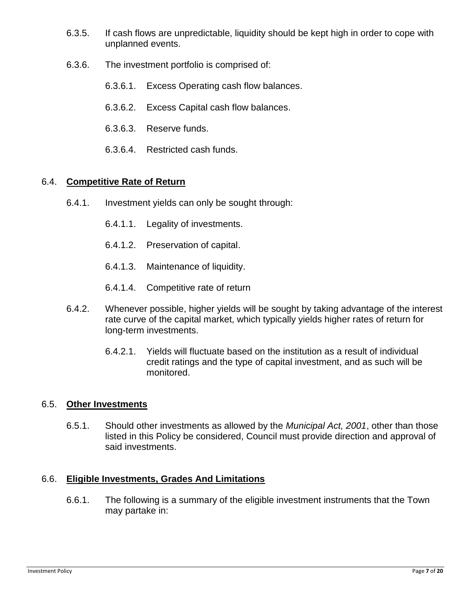- 6.3.5. If cash flows are unpredictable, liquidity should be kept high in order to cope with unplanned events.
- 6.3.6. The investment portfolio is comprised of:
	- 6.3.6.1. Excess Operating cash flow balances.
	- 6.3.6.2. Excess Capital cash flow balances.
	- 6.3.6.3. Reserve funds.
	- 6.3.6.4. Restricted cash funds.

## 6.4. **Competitive Rate of Return**

- 6.4.1. Investment yields can only be sought through:
	- 6.4.1.1. Legality of investments.
	- 6.4.1.2. Preservation of capital.
	- 6.4.1.3. Maintenance of liquidity.
	- 6.4.1.4. Competitive rate of return
- 6.4.2. Whenever possible, higher yields will be sought by taking advantage of the interest rate curve of the capital market, which typically yields higher rates of return for long-term investments.
	- 6.4.2.1. Yields will fluctuate based on the institution as a result of individual credit ratings and the type of capital investment, and as such will be monitored.

### 6.5. **Other Investments**

6.5.1. Should other investments as allowed by the *Municipal Act, 2001*, other than those listed in this Policy be considered, Council must provide direction and approval of said investments.

### 6.6. **Eligible Investments, Grades And Limitations**

6.6.1. The following is a summary of the eligible investment instruments that the Town may partake in: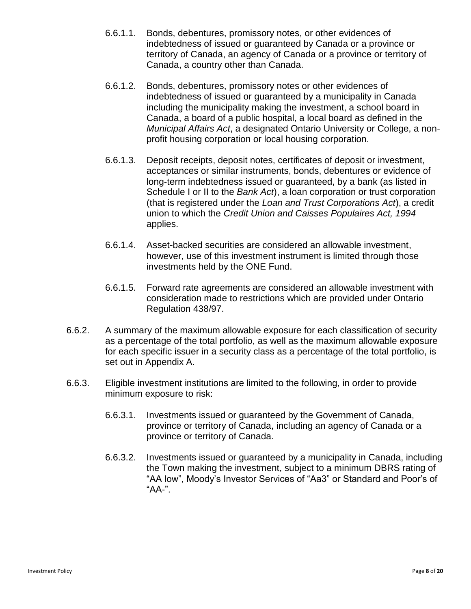- 6.6.1.1. Bonds, debentures, promissory notes, or other evidences of indebtedness of issued or guaranteed by Canada or a province or territory of Canada, an agency of Canada or a province or territory of Canada, a country other than Canada.
- 6.6.1.2. Bonds, debentures, promissory notes or other evidences of indebtedness of issued or guaranteed by a municipality in Canada including the municipality making the investment, a school board in Canada, a board of a public hospital, a local board as defined in the *Municipal Affairs Act*, a designated Ontario University or College, a nonprofit housing corporation or local housing corporation.
- 6.6.1.3. Deposit receipts, deposit notes, certificates of deposit or investment, acceptances or similar instruments, bonds, debentures or evidence of long-term indebtedness issued or guaranteed, by a bank (as listed in Schedule I or II to the *Bank Act*), a loan corporation or trust corporation (that is registered under the *Loan and Trust Corporations Act*), a credit union to which the *Credit Union and Caisses Populaires Act, 1994* applies.
- 6.6.1.4. Asset-backed securities are considered an allowable investment, however, use of this investment instrument is limited through those investments held by the ONE Fund.
- 6.6.1.5. Forward rate agreements are considered an allowable investment with consideration made to restrictions which are provided under Ontario Regulation 438/97.
- 6.6.2. A summary of the maximum allowable exposure for each classification of security as a percentage of the total portfolio, as well as the maximum allowable exposure for each specific issuer in a security class as a percentage of the total portfolio, is set out in Appendix A.
- 6.6.3. Eligible investment institutions are limited to the following, in order to provide minimum exposure to risk:
	- 6.6.3.1. Investments issued or guaranteed by the Government of Canada, province or territory of Canada, including an agency of Canada or a province or territory of Canada.
	- 6.6.3.2. Investments issued or guaranteed by a municipality in Canada, including the Town making the investment, subject to a minimum DBRS rating of "AA low", Moody's Investor Services of "Aa3" or Standard and Poor's of "AA-".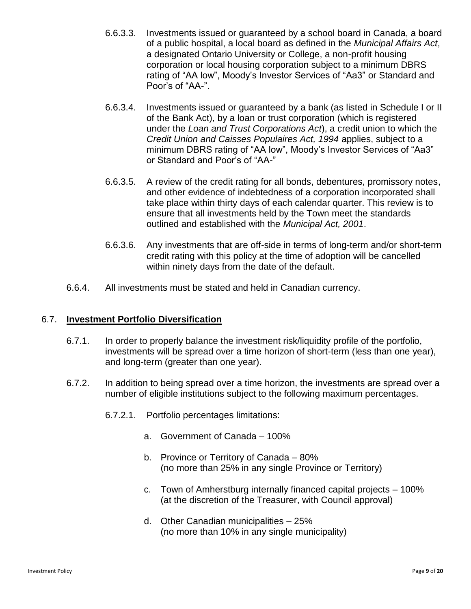- 6.6.3.3. Investments issued or guaranteed by a school board in Canada, a board of a public hospital, a local board as defined in the *Municipal Affairs Act*, a designated Ontario University or College, a non-profit housing corporation or local housing corporation subject to a minimum DBRS rating of "AA low", Moody's Investor Services of "Aa3" or Standard and Poor's of "AA-".
- 6.6.3.4. Investments issued or guaranteed by a bank (as listed in Schedule I or II of the Bank Act), by a loan or trust corporation (which is registered under the *Loan and Trust Corporations Act*), a credit union to which the *Credit Union and Caisses Populaires Act, 1994* applies, subject to a minimum DBRS rating of "AA low", Moody's Investor Services of "Aa3" or Standard and Poor's of "AA-"
- 6.6.3.5. A review of the credit rating for all bonds, debentures, promissory notes, and other evidence of indebtedness of a corporation incorporated shall take place within thirty days of each calendar quarter. This review is to ensure that all investments held by the Town meet the standards outlined and established with the *Municipal Act, 2001*.
- 6.6.3.6. Any investments that are off-side in terms of long-term and/or short-term credit rating with this policy at the time of adoption will be cancelled within ninety days from the date of the default.
- 6.6.4. All investments must be stated and held in Canadian currency.

### 6.7. **Investment Portfolio Diversification**

- 6.7.1. In order to properly balance the investment risk/liquidity profile of the portfolio, investments will be spread over a time horizon of short-term (less than one year), and long-term (greater than one year).
- 6.7.2. In addition to being spread over a time horizon, the investments are spread over a number of eligible institutions subject to the following maximum percentages.
	- 6.7.2.1. Portfolio percentages limitations:
		- a. Government of Canada 100%
		- b. Province or Territory of Canada 80% (no more than 25% in any single Province or Territory)
		- c. Town of Amherstburg internally financed capital projects 100% (at the discretion of the Treasurer, with Council approval)
		- d. Other Canadian municipalities 25% (no more than 10% in any single municipality)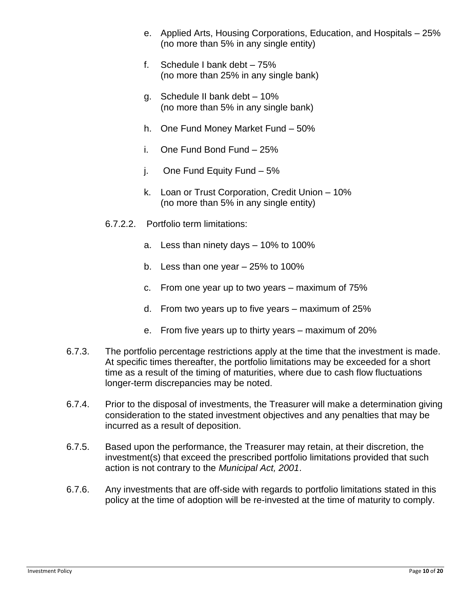- e. Applied Arts, Housing Corporations, Education, and Hospitals 25% (no more than 5% in any single entity)
- f. Schedule I bank debt 75% (no more than 25% in any single bank)
- g. Schedule II bank debt 10% (no more than 5% in any single bank)
- h. One Fund Money Market Fund 50%
- i. One Fund Bond Fund 25%
- j. One Fund Equity Fund 5%
- k. Loan or Trust Corporation, Credit Union 10% (no more than 5% in any single entity)
- 6.7.2.2. Portfolio term limitations:
	- a. Less than ninety days 10% to 100%
	- b. Less than one year 25% to 100%
	- c. From one year up to two years maximum of 75%
	- d. From two years up to five years maximum of 25%
	- e. From five years up to thirty years maximum of 20%
- 6.7.3. The portfolio percentage restrictions apply at the time that the investment is made. At specific times thereafter, the portfolio limitations may be exceeded for a short time as a result of the timing of maturities, where due to cash flow fluctuations longer-term discrepancies may be noted.
- 6.7.4. Prior to the disposal of investments, the Treasurer will make a determination giving consideration to the stated investment objectives and any penalties that may be incurred as a result of deposition.
- 6.7.5. Based upon the performance, the Treasurer may retain, at their discretion, the investment(s) that exceed the prescribed portfolio limitations provided that such action is not contrary to the *Municipal Act, 2001*.
- 6.7.6. Any investments that are off-side with regards to portfolio limitations stated in this policy at the time of adoption will be re-invested at the time of maturity to comply.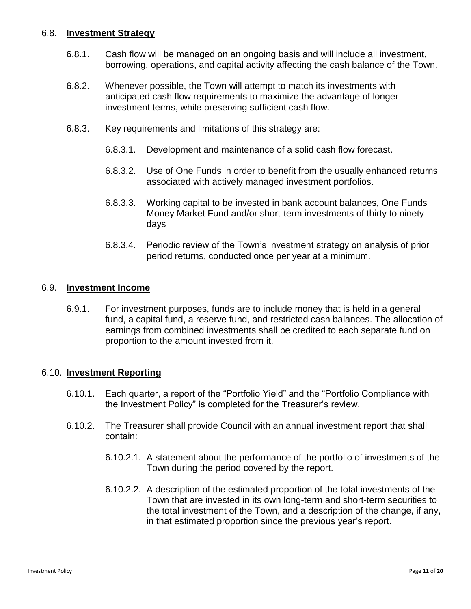### 6.8. **Investment Strategy**

- 6.8.1. Cash flow will be managed on an ongoing basis and will include all investment, borrowing, operations, and capital activity affecting the cash balance of the Town.
- 6.8.2. Whenever possible, the Town will attempt to match its investments with anticipated cash flow requirements to maximize the advantage of longer investment terms, while preserving sufficient cash flow.
- 6.8.3. Key requirements and limitations of this strategy are:
	- 6.8.3.1. Development and maintenance of a solid cash flow forecast.
	- 6.8.3.2. Use of One Funds in order to benefit from the usually enhanced returns associated with actively managed investment portfolios.
	- 6.8.3.3. Working capital to be invested in bank account balances, One Funds Money Market Fund and/or short-term investments of thirty to ninety days
	- 6.8.3.4. Periodic review of the Town's investment strategy on analysis of prior period returns, conducted once per year at a minimum.

#### 6.9. **Investment Income**

6.9.1. For investment purposes, funds are to include money that is held in a general fund, a capital fund, a reserve fund, and restricted cash balances. The allocation of earnings from combined investments shall be credited to each separate fund on proportion to the amount invested from it.

#### 6.10. **Investment Reporting**

- 6.10.1. Each quarter, a report of the "Portfolio Yield" and the "Portfolio Compliance with the Investment Policy" is completed for the Treasurer's review.
- 6.10.2. The Treasurer shall provide Council with an annual investment report that shall contain:
	- 6.10.2.1. A statement about the performance of the portfolio of investments of the Town during the period covered by the report.
	- 6.10.2.2. A description of the estimated proportion of the total investments of the Town that are invested in its own long-term and short-term securities to the total investment of the Town, and a description of the change, if any, in that estimated proportion since the previous year's report.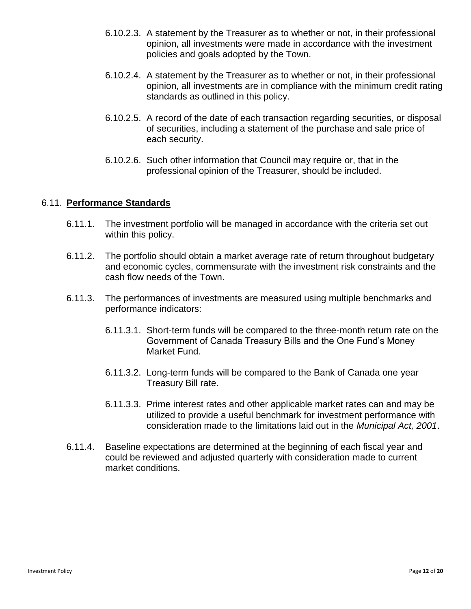- 6.10.2.3. A statement by the Treasurer as to whether or not, in their professional opinion, all investments were made in accordance with the investment policies and goals adopted by the Town.
- 6.10.2.4. A statement by the Treasurer as to whether or not, in their professional opinion, all investments are in compliance with the minimum credit rating standards as outlined in this policy.
- 6.10.2.5. A record of the date of each transaction regarding securities, or disposal of securities, including a statement of the purchase and sale price of each security.
- 6.10.2.6. Such other information that Council may require or, that in the professional opinion of the Treasurer, should be included.

### 6.11. **Performance Standards**

- 6.11.1. The investment portfolio will be managed in accordance with the criteria set out within this policy.
- 6.11.2. The portfolio should obtain a market average rate of return throughout budgetary and economic cycles, commensurate with the investment risk constraints and the cash flow needs of the Town.
- 6.11.3. The performances of investments are measured using multiple benchmarks and performance indicators:
	- 6.11.3.1. Short-term funds will be compared to the three-month return rate on the Government of Canada Treasury Bills and the One Fund's Money Market Fund.
	- 6.11.3.2. Long-term funds will be compared to the Bank of Canada one year Treasury Bill rate.
	- 6.11.3.3. Prime interest rates and other applicable market rates can and may be utilized to provide a useful benchmark for investment performance with consideration made to the limitations laid out in the *Municipal Act, 2001*.
- 6.11.4. Baseline expectations are determined at the beginning of each fiscal year and could be reviewed and adjusted quarterly with consideration made to current market conditions.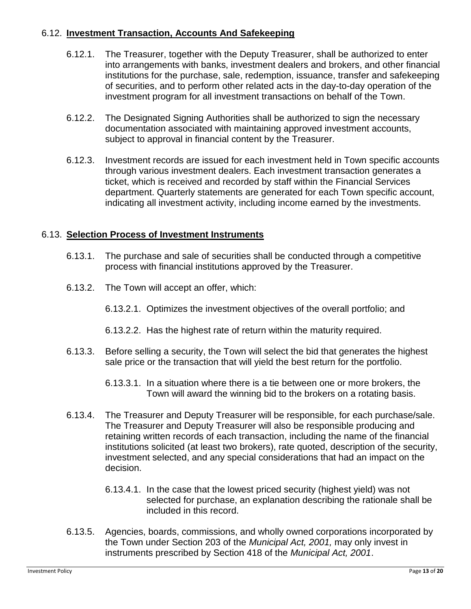## 6.12. **Investment Transaction, Accounts And Safekeeping**

- 6.12.1. The Treasurer, together with the Deputy Treasurer, shall be authorized to enter into arrangements with banks, investment dealers and brokers, and other financial institutions for the purchase, sale, redemption, issuance, transfer and safekeeping of securities, and to perform other related acts in the day-to-day operation of the investment program for all investment transactions on behalf of the Town.
- 6.12.2. The Designated Signing Authorities shall be authorized to sign the necessary documentation associated with maintaining approved investment accounts, subject to approval in financial content by the Treasurer.
- 6.12.3. Investment records are issued for each investment held in Town specific accounts through various investment dealers. Each investment transaction generates a ticket, which is received and recorded by staff within the Financial Services department. Quarterly statements are generated for each Town specific account, indicating all investment activity, including income earned by the investments.

## 6.13. **Selection Process of Investment Instruments**

- 6.13.1. The purchase and sale of securities shall be conducted through a competitive process with financial institutions approved by the Treasurer.
- 6.13.2. The Town will accept an offer, which:
	- 6.13.2.1. Optimizes the investment objectives of the overall portfolio; and
	- 6.13.2.2. Has the highest rate of return within the maturity required.
- 6.13.3. Before selling a security, the Town will select the bid that generates the highest sale price or the transaction that will yield the best return for the portfolio.
	- 6.13.3.1. In a situation where there is a tie between one or more brokers, the Town will award the winning bid to the brokers on a rotating basis.
- 6.13.4. The Treasurer and Deputy Treasurer will be responsible, for each purchase/sale. The Treasurer and Deputy Treasurer will also be responsible producing and retaining written records of each transaction, including the name of the financial institutions solicited (at least two brokers), rate quoted, description of the security, investment selected, and any special considerations that had an impact on the decision.
	- 6.13.4.1. In the case that the lowest priced security (highest yield) was not selected for purchase, an explanation describing the rationale shall be included in this record.
- 6.13.5. Agencies, boards, commissions, and wholly owned corporations incorporated by the Town under Section 203 of the *Municipal Act, 2001,* may only invest in instruments prescribed by Section 418 of the *Municipal Act, 2001*.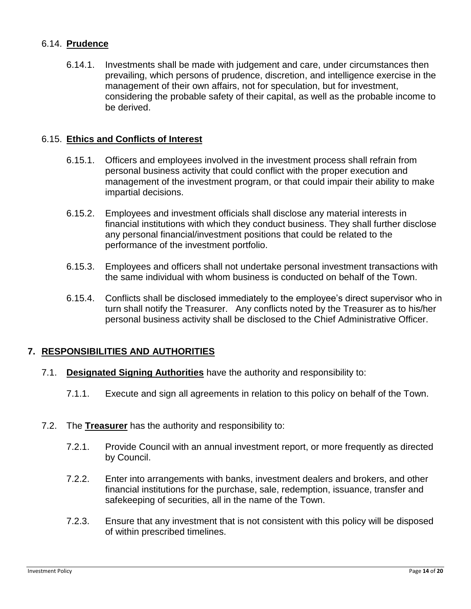## 6.14. **Prudence**

6.14.1. Investments shall be made with judgement and care, under circumstances then prevailing, which persons of prudence, discretion, and intelligence exercise in the management of their own affairs, not for speculation, but for investment, considering the probable safety of their capital, as well as the probable income to be derived.

### 6.15. **Ethics and Conflicts of Interest**

- 6.15.1. Officers and employees involved in the investment process shall refrain from personal business activity that could conflict with the proper execution and management of the investment program, or that could impair their ability to make impartial decisions.
- 6.15.2. Employees and investment officials shall disclose any material interests in financial institutions with which they conduct business. They shall further disclose any personal financial/investment positions that could be related to the performance of the investment portfolio.
- 6.15.3. Employees and officers shall not undertake personal investment transactions with the same individual with whom business is conducted on behalf of the Town.
- 6.15.4. Conflicts shall be disclosed immediately to the employee's direct supervisor who in turn shall notify the Treasurer. Any conflicts noted by the Treasurer as to his/her personal business activity shall be disclosed to the Chief Administrative Officer.

## **7. RESPONSIBILITIES AND AUTHORITIES**

- 7.1. **Designated Signing Authorities** have the authority and responsibility to:
	- 7.1.1. Execute and sign all agreements in relation to this policy on behalf of the Town.
- 7.2. The **Treasurer** has the authority and responsibility to:
	- 7.2.1. Provide Council with an annual investment report, or more frequently as directed by Council.
	- 7.2.2. Enter into arrangements with banks, investment dealers and brokers, and other financial institutions for the purchase, sale, redemption, issuance, transfer and safekeeping of securities, all in the name of the Town.
	- 7.2.3. Ensure that any investment that is not consistent with this policy will be disposed of within prescribed timelines.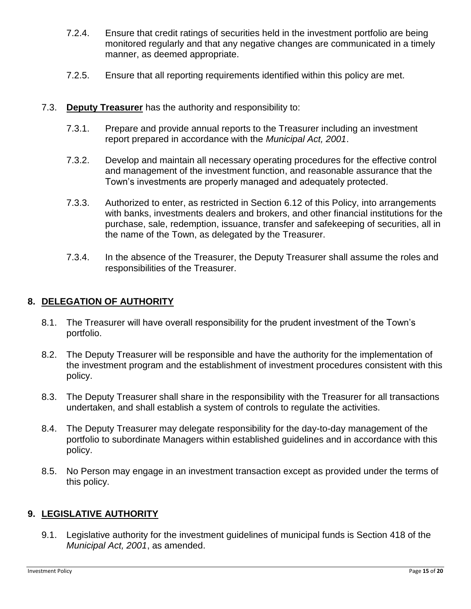- 7.2.4. Ensure that credit ratings of securities held in the investment portfolio are being monitored regularly and that any negative changes are communicated in a timely manner, as deemed appropriate.
- 7.2.5. Ensure that all reporting requirements identified within this policy are met.

## 7.3. **Deputy Treasurer** has the authority and responsibility to:

- 7.3.1. Prepare and provide annual reports to the Treasurer including an investment report prepared in accordance with the *Municipal Act, 2001*.
- 7.3.2. Develop and maintain all necessary operating procedures for the effective control and management of the investment function, and reasonable assurance that the Town's investments are properly managed and adequately protected.
- 7.3.3. Authorized to enter, as restricted in Section 6.12 of this Policy, into arrangements with banks, investments dealers and brokers, and other financial institutions for the purchase, sale, redemption, issuance, transfer and safekeeping of securities, all in the name of the Town, as delegated by the Treasurer.
- 7.3.4. In the absence of the Treasurer, the Deputy Treasurer shall assume the roles and responsibilities of the Treasurer.

### **8. DELEGATION OF AUTHORITY**

- 8.1. The Treasurer will have overall responsibility for the prudent investment of the Town's portfolio.
- 8.2. The Deputy Treasurer will be responsible and have the authority for the implementation of the investment program and the establishment of investment procedures consistent with this policy.
- 8.3. The Deputy Treasurer shall share in the responsibility with the Treasurer for all transactions undertaken, and shall establish a system of controls to regulate the activities.
- 8.4. The Deputy Treasurer may delegate responsibility for the day-to-day management of the portfolio to subordinate Managers within established guidelines and in accordance with this policy.
- 8.5. No Person may engage in an investment transaction except as provided under the terms of this policy.

### **9. LEGISLATIVE AUTHORITY**

9.1. Legislative authority for the investment guidelines of municipal funds is Section 418 of the *Municipal Act, 2001*, as amended.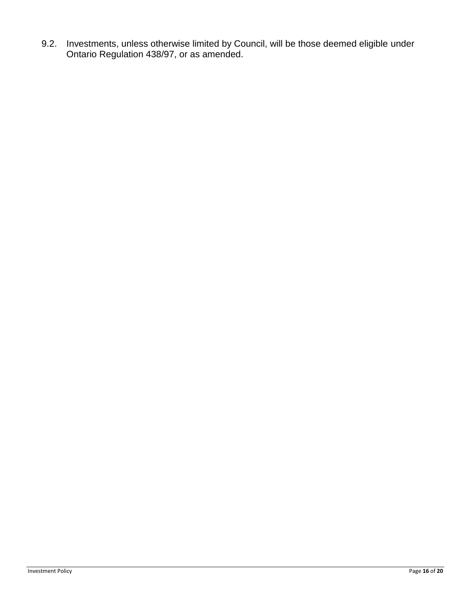9.2. Investments, unless otherwise limited by Council, will be those deemed eligible under Ontario Regulation 438/97, or as amended.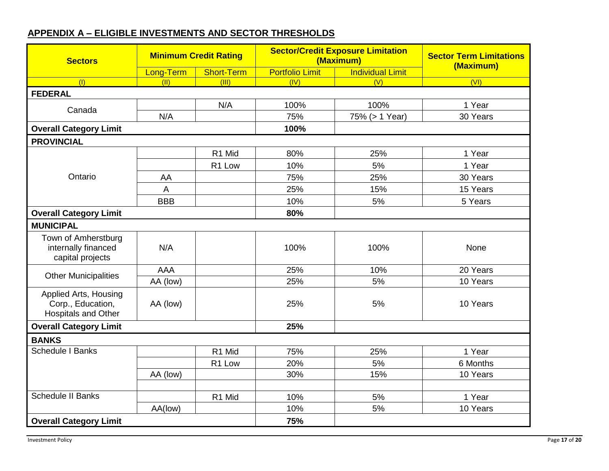|  | <b>APPENDIX A - ELIGIBLE INVESTMENTS AND SECTOR THRESHOLDS</b> |  |
|--|----------------------------------------------------------------|--|
|  |                                                                |  |

| <b>Sectors</b>                                                           | <b>Minimum Credit Rating</b> |                   | <b>Sector/Credit Exposure Limitation</b><br>(Maximum) |                         | <b>Sector Term Limitations</b><br>(Maximum) |  |
|--------------------------------------------------------------------------|------------------------------|-------------------|-------------------------------------------------------|-------------------------|---------------------------------------------|--|
|                                                                          | Long-Term                    | <b>Short-Term</b> | <b>Portfolio Limit</b>                                | <b>Individual Limit</b> |                                             |  |
| (1)                                                                      | (11)                         | (III)             | (IV)                                                  | (V)                     | (VI)                                        |  |
| <b>FEDERAL</b>                                                           |                              |                   |                                                       |                         |                                             |  |
| Canada                                                                   |                              | N/A               | 100%                                                  | 100%                    | 1 Year                                      |  |
|                                                                          | N/A                          |                   | 75%                                                   | 75% (> 1 Year)          | 30 Years                                    |  |
| <b>Overall Category Limit</b>                                            |                              |                   | 100%                                                  |                         |                                             |  |
| <b>PROVINCIAL</b>                                                        |                              |                   |                                                       |                         |                                             |  |
|                                                                          |                              | R1 Mid            | 80%                                                   | 25%                     | 1 Year                                      |  |
|                                                                          |                              | R1 Low            | 10%                                                   | 5%                      | 1 Year                                      |  |
| Ontario                                                                  | AA                           |                   | 75%                                                   | 25%                     | 30 Years                                    |  |
|                                                                          | A                            |                   | 25%                                                   | 15%                     | 15 Years                                    |  |
|                                                                          | <b>BBB</b>                   |                   | 10%                                                   | 5%                      | 5 Years                                     |  |
| <b>Overall Category Limit</b>                                            |                              |                   | 80%                                                   |                         |                                             |  |
| <b>MUNICIPAL</b>                                                         |                              |                   |                                                       |                         |                                             |  |
| Town of Amherstburg<br>internally financed<br>capital projects           | N/A                          |                   | 100%                                                  | 100%                    | None                                        |  |
|                                                                          | <b>AAA</b>                   |                   | 25%                                                   | 10%                     | 20 Years                                    |  |
| <b>Other Municipalities</b>                                              | AA (low)                     |                   | 25%                                                   | 5%                      | 10 Years                                    |  |
| Applied Arts, Housing<br>Corp., Education,<br><b>Hospitals and Other</b> | AA (low)                     |                   | 25%                                                   | 5%                      | 10 Years                                    |  |
| <b>Overall Category Limit</b>                                            |                              |                   | 25%                                                   |                         |                                             |  |
| <b>BANKS</b>                                                             |                              |                   |                                                       |                         |                                             |  |
| <b>Schedule I Banks</b>                                                  |                              | R1 Mid            | 75%                                                   | 25%                     | 1 Year                                      |  |
|                                                                          |                              | R1 Low            | 20%                                                   | 5%                      | 6 Months                                    |  |
|                                                                          | AA (low)                     |                   | 30%                                                   | 15%                     | 10 Years                                    |  |
|                                                                          |                              |                   |                                                       |                         |                                             |  |
| <b>Schedule II Banks</b>                                                 |                              | R1 Mid            | 10%                                                   | 5%                      | 1 Year                                      |  |
|                                                                          | AA(low)                      |                   | 10%                                                   | 5%                      | 10 Years                                    |  |
| <b>Overall Category Limit</b>                                            |                              |                   | 75%                                                   |                         |                                             |  |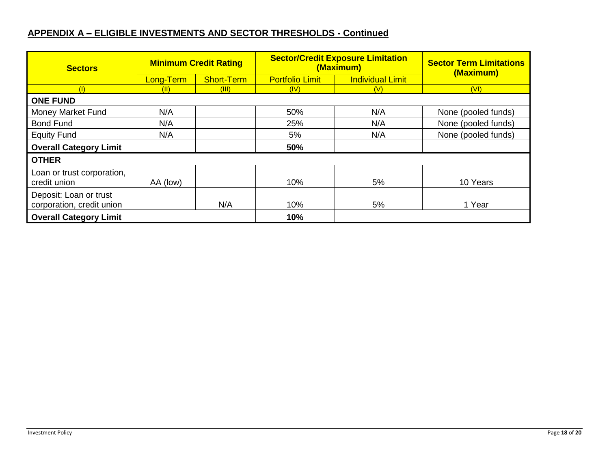## **APPENDIX A – ELIGIBLE INVESTMENTS AND SECTOR THRESHOLDS - Continued**

| <b>Sectors</b>                                      | <b>Minimum Credit Rating</b>   |       |                        | <b>Sector/Credit Exposure Limitation</b><br>(Maximum) | <b>Sector Term Limitations</b><br>(Maximum) |  |  |  |
|-----------------------------------------------------|--------------------------------|-------|------------------------|-------------------------------------------------------|---------------------------------------------|--|--|--|
|                                                     | <b>Short-Term</b><br>Long-Term |       | <b>Portfolio Limit</b> | <b>Individual Limit</b>                               |                                             |  |  |  |
| (1)                                                 | (11)                           | (III) | (IV)                   | (V)                                                   | (VI)                                        |  |  |  |
| <b>ONE FUND</b>                                     |                                |       |                        |                                                       |                                             |  |  |  |
| <b>Money Market Fund</b><br>N/A                     |                                |       | 50%                    | N/A                                                   | None (pooled funds)                         |  |  |  |
| <b>Bond Fund</b><br>N/A                             |                                | 25%   | N/A                    | None (pooled funds)                                   |                                             |  |  |  |
| <b>Equity Fund</b>                                  | N/A                            |       | 5%                     | N/A                                                   | None (pooled funds)                         |  |  |  |
| <b>Overall Category Limit</b>                       |                                |       | 50%                    |                                                       |                                             |  |  |  |
| <b>OTHER</b>                                        |                                |       |                        |                                                       |                                             |  |  |  |
| Loan or trust corporation,<br>credit union          | AA (low)                       |       | 10%                    | 5%                                                    | 10 Years                                    |  |  |  |
| Deposit: Loan or trust<br>corporation, credit union |                                | N/A   | 10%                    | 5%                                                    | 1 Year                                      |  |  |  |
| <b>Overall Category Limit</b>                       |                                |       | 10%                    |                                                       |                                             |  |  |  |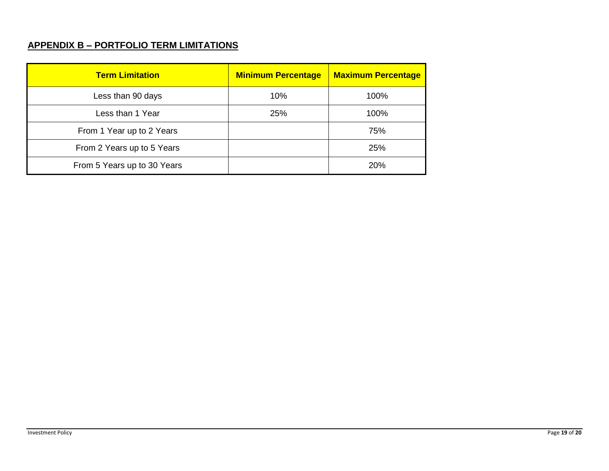## **APPENDIX B – PORTFOLIO TERM LIMITATIONS**

| <b>Term Limitation</b>      | <b>Minimum Percentage</b> | <b>Maximum Percentage</b> |
|-----------------------------|---------------------------|---------------------------|
| Less than 90 days           | 10%                       | 100%                      |
| Less than 1 Year            | 25%                       | 100%                      |
| From 1 Year up to 2 Years   |                           | 75%                       |
| From 2 Years up to 5 Years  |                           | 25%                       |
| From 5 Years up to 30 Years |                           | <b>20%</b>                |